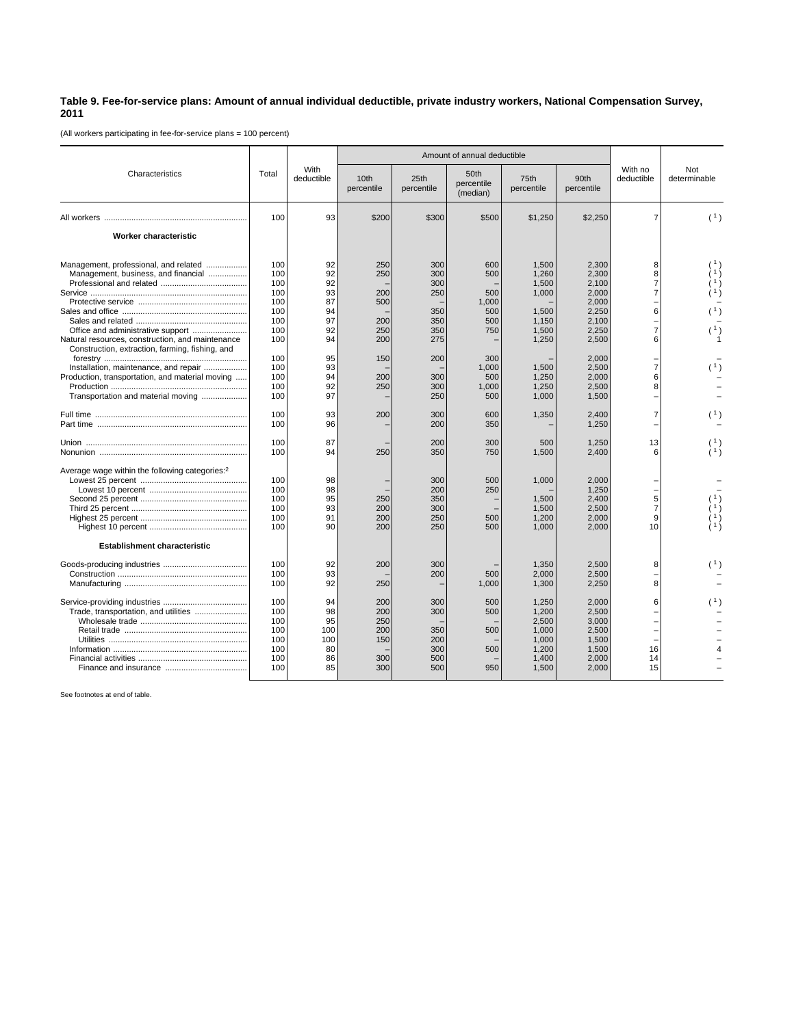## **Table 9. Fee-for-service plans: Amount of annual individual deductible, private industry workers, National Compensation Survey, 2011**

(All workers participating in fee-for-service plans = 100 percent)

|                                                                                                                                                                                                                                                                                                                      | Total                                                                                   | With<br>deductible                                                         | Amount of annual deductible                                        |                                                                           |                                                                                 |                                                                                                 |                                                                                                                   |                                                                                                    |                                             |
|----------------------------------------------------------------------------------------------------------------------------------------------------------------------------------------------------------------------------------------------------------------------------------------------------------------------|-----------------------------------------------------------------------------------------|----------------------------------------------------------------------------|--------------------------------------------------------------------|---------------------------------------------------------------------------|---------------------------------------------------------------------------------|-------------------------------------------------------------------------------------------------|-------------------------------------------------------------------------------------------------------------------|----------------------------------------------------------------------------------------------------|---------------------------------------------|
| Characteristics                                                                                                                                                                                                                                                                                                      |                                                                                         |                                                                            | 10th<br>percentile                                                 | 25th<br>percentile                                                        | 50th<br>percentile<br>(median)                                                  | 75th<br>percentile                                                                              | 90th<br>percentile                                                                                                | With no<br>deductible                                                                              | Not<br>determinable                         |
|                                                                                                                                                                                                                                                                                                                      | 100                                                                                     | 93                                                                         | \$200                                                              | \$300                                                                     | \$500                                                                           | \$1,250                                                                                         | \$2,250                                                                                                           | $\overline{7}$                                                                                     | (1)                                         |
| <b>Worker characteristic</b>                                                                                                                                                                                                                                                                                         |                                                                                         |                                                                            |                                                                    |                                                                           |                                                                                 |                                                                                                 |                                                                                                                   |                                                                                                    |                                             |
| Management, professional, and related<br>Management, business, and financial<br>Office and administrative support<br>Natural resources, construction, and maintenance<br>Construction, extraction, farming, fishing, and<br>Installation, maintenance, and repair<br>Production, transportation, and material moving | 100<br>100<br>100<br>100<br>100<br>100<br>100<br>100<br>100<br>100<br>100<br>100<br>100 | 92<br>92<br>92<br>93<br>87<br>94<br>97<br>92<br>94<br>95<br>93<br>94<br>92 | 250<br>250<br>200<br>500<br>200<br>250<br>200<br>150<br>200<br>250 | 300<br>300<br>300<br>250<br>350<br>350<br>350<br>275<br>200<br>300<br>300 | 600<br>500<br>500<br>1,000<br>500<br>500<br>750<br>300<br>1.000<br>500<br>1,000 | 1,500<br>1.260<br>1,500<br>1,000<br>1,500<br>1,150<br>1,500<br>1,250<br>1.500<br>1,250<br>1,250 | 2,300<br>2.300<br>2,100<br>2,000<br>2,000<br>2,250<br>2.100<br>2,250<br>2,500<br>2,000<br>2,500<br>2,000<br>2,500 | 8<br>8<br>$\overline{7}$<br>$\overline{7}$<br>6<br>$\overline{7}$<br>6<br>$\overline{7}$<br>6<br>8 | (1)<br>(1)                                  |
| Transportation and material moving                                                                                                                                                                                                                                                                                   | 100<br>100                                                                              | 97<br>93                                                                   | 200                                                                | 250<br>300                                                                | 500<br>600                                                                      | 1,000<br>1,350                                                                                  | 1,500<br>2,400                                                                                                    | $\overline{7}$                                                                                     | (1)                                         |
|                                                                                                                                                                                                                                                                                                                      | 100<br>100<br>100                                                                       | 96<br>87<br>94                                                             | 250                                                                | 200<br>200<br>350                                                         | 350<br>300<br>750                                                               | 500<br>1,500                                                                                    | 1,250<br>1,250<br>2,400                                                                                           | 13<br>6                                                                                            |                                             |
| Average wage within the following categories: <sup>2</sup>                                                                                                                                                                                                                                                           | 100<br>100<br>100<br>100<br>100<br>100                                                  | 98<br>98<br>95<br>93<br>91<br>90                                           | 250<br>200<br>200<br>200                                           | 300<br>200<br>350<br>300<br>250<br>250                                    | 500<br>250<br>500<br>500                                                        | 1,000<br>1,500<br>1,500<br>1,200<br>1,000                                                       | 2,000<br>1,250<br>2,400<br>2,500<br>2,000<br>2,000                                                                | $\frac{1}{5}$<br>$\overline{7}$<br>9<br>10                                                         | $\begin{pmatrix} 1 \\ 1 \\ 1 \end{pmatrix}$ |
| <b>Establishment characteristic</b>                                                                                                                                                                                                                                                                                  |                                                                                         |                                                                            |                                                                    |                                                                           |                                                                                 |                                                                                                 |                                                                                                                   |                                                                                                    |                                             |
|                                                                                                                                                                                                                                                                                                                      | 100<br>100<br>100                                                                       | 92<br>93<br>92                                                             | 200<br>250                                                         | 300<br>200                                                                | 500<br>1,000                                                                    | 1,350<br>2,000<br>1,300                                                                         | 2,500<br>2,500<br>2,250                                                                                           | 8<br>8                                                                                             | (1)                                         |
| Trade, transportation, and utilities                                                                                                                                                                                                                                                                                 | 100<br>100<br>100<br>100<br>100<br>100<br>100<br>100                                    | 94<br>98<br>95<br>100<br>100<br>80<br>86<br>85                             | 200<br>200<br>250<br>200<br>150<br>300<br>300                      | 300<br>300<br>350<br>200<br>300<br>500<br>500                             | 500<br>500<br>500<br>500<br>950                                                 | 1,250<br>1,200<br>2,500<br>1,000<br>1,000<br>1,200<br>1,400<br>1,500                            | 2,000<br>2,500<br>3,000<br>2,500<br>1,500<br>1,500<br>2,000<br>2,000                                              | 6<br>16<br>14<br>15                                                                                | (1)                                         |

See footnotes at end of table.